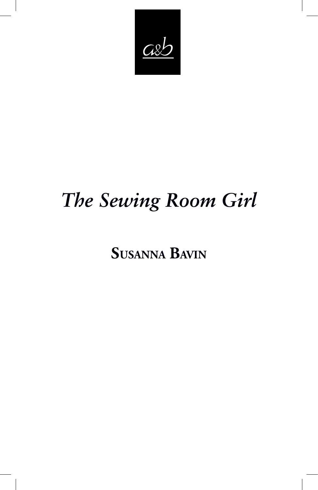

## *The Sewing Room Girl*

**Susanna Bavin**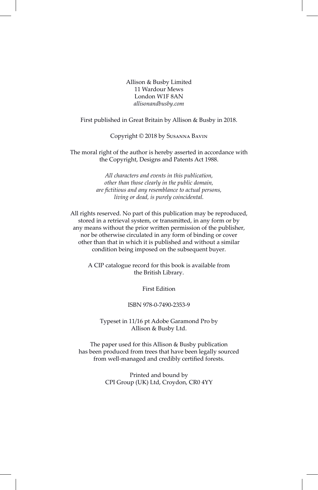Allison & Busby Limited 11 Wardour Mews London W1F 8AN *allisonandbusby.com*

First published in Great Britain by Allison & Busby in 2018.

Copyright © 2018 by Susanna Bavin

The moral right of the author is hereby asserted in accordance with the Copyright, Designs and Patents Act 1988.

> *All characters and events in this publication, other than those clearly in the public domain, are fictitious and any resemblance to actual persons, living or dead, is purely coincidental.*

All rights reserved. No part of this publication may be reproduced, stored in a retrieval system, or transmitted, in any form or by any means without the prior written permission of the publisher, nor be otherwise circulated in any form of binding or cover other than that in which it is published and without a similar condition being imposed on the subsequent buyer.

A CIP catalogue record for this book is available from the British Library.

First Edition

## ISBN 978-0-7490-2353-9

Typeset in 11/16 pt Adobe Garamond Pro by Allison & Busby Ltd.

The paper used for this Allison & Busby publication has been produced from trees that have been legally sourced from well-managed and credibly certified forests.

> Printed and bound by CPI Group (UK) Ltd, Croydon, CR0 4YY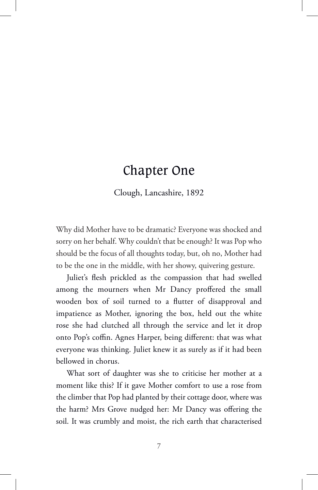## Chapter One

Clough, Lancashire, 1892

Why did Mother have to be dramatic? Everyone was shocked and sorry on her behalf. Why couldn't that be enough? It was Pop who should be the focus of all thoughts today, but, oh no, Mother had to be the one in the middle, with her showy, quivering gesture.

Juliet's flesh prickled as the compassion that had swelled among the mourners when Mr Dancy proffered the small wooden box of soil turned to a flutter of disapproval and impatience as Mother, ignoring the box, held out the white rose she had clutched all through the service and let it drop onto Pop's coffin. Agnes Harper, being different: that was what everyone was thinking. Juliet knew it as surely as if it had been bellowed in chorus.

What sort of daughter was she to criticise her mother at a moment like this? If it gave Mother comfort to use a rose from the climber that Pop had planted by their cottage door, where was the harm? Mrs Grove nudged her: Mr Dancy was offering the soil. It was crumbly and moist, the rich earth that characterised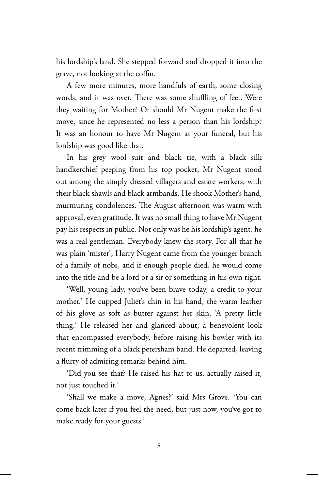his lordship's land. She stepped forward and dropped it into the grave, not looking at the coffin.

A few more minutes, more handfuls of earth, some closing words, and it was over. There was some shuffling of feet. Were they waiting for Mother? Or should Mr Nugent make the first move, since he represented no less a person than his lordship? It was an honour to have Mr Nugent at your funeral, but his lordship was good like that.

In his grey wool suit and black tie, with a black silk handkerchief peeping from his top pocket, Mr Nugent stood out among the simply dressed villagers and estate workers, with their black shawls and black armbands. He shook Mother's hand, murmuring condolences. The August afternoon was warm with approval, even gratitude. It was no small thing to have Mr Nugent pay his respects in public. Not only was he his lordship's agent, he was a real gentleman. Everybody knew the story. For all that he was plain 'mister', Harry Nugent came from the younger branch of a family of nobs, and if enough people died, he would come into the title and be a lord or a sir or something in his own right.

'Well, young lady, you've been brave today, a credit to your mother.' He cupped Juliet's chin in his hand, the warm leather of his glove as soft as butter against her skin. 'A pretty little thing.' He released her and glanced about, a benevolent look that encompassed everybody, before raising his bowler with its recent trimming of a black petersham band. He departed, leaving a flurry of admiring remarks behind him.

'Did you see that? He raised his hat to us, actually raised it, not just touched it.'

'Shall we make a move, Agnes?' said Mrs Grove. 'You can come back later if you feel the need, but just now, you've got to make ready for your guests.'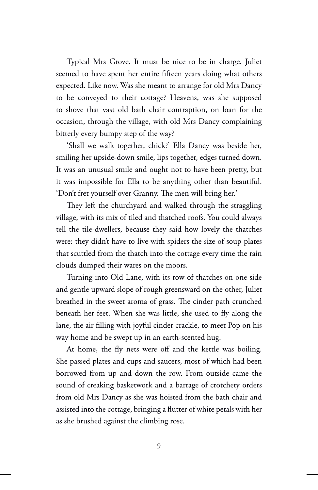Typical Mrs Grove. It must be nice to be in charge. Juliet seemed to have spent her entire fifteen years doing what others expected. Like now. Was she meant to arrange for old Mrs Dancy to be conveyed to their cottage? Heavens, was she supposed to shove that vast old bath chair contraption, on loan for the occasion, through the village, with old Mrs Dancy complaining bitterly every bumpy step of the way?

'Shall we walk together, chick?' Ella Dancy was beside her, smiling her upside-down smile, lips together, edges turned down. It was an unusual smile and ought not to have been pretty, but it was impossible for Ella to be anything other than beautiful. 'Don't fret yourself over Granny. The men will bring her.'

They left the churchyard and walked through the straggling village, with its mix of tiled and thatched roofs. You could always tell the tile-dwellers, because they said how lovely the thatches were: they didn't have to live with spiders the size of soup plates that scuttled from the thatch into the cottage every time the rain clouds dumped their wares on the moors.

Turning into Old Lane, with its row of thatches on one side and gentle upward slope of rough greensward on the other, Juliet breathed in the sweet aroma of grass. The cinder path crunched beneath her feet. When she was little, she used to fly along the lane, the air filling with joyful cinder crackle, to meet Pop on his way home and be swept up in an earth-scented hug.

At home, the fly nets were off and the kettle was boiling. She passed plates and cups and saucers, most of which had been borrowed from up and down the row. From outside came the sound of creaking basketwork and a barrage of crotchety orders from old Mrs Dancy as she was hoisted from the bath chair and assisted into the cottage, bringing a flutter of white petals with her as she brushed against the climbing rose.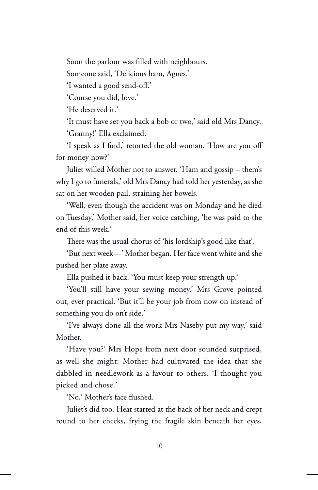Soon the parlour was filled with neighbours.

Someone said, 'Delicious ham, Agnes.'

'I wanted a good send-off.'

'Course you did, love.'

'He deserved it.'

'It must have set you back a bob or two,' said old Mrs Dancy. 'Granny!' Ella exclaimed.

'I speak as I find,' retorted the old woman. 'How are you off for money now?'

Juliet willed Mother not to answer. 'Ham and gossip – them's why I go to funerals,' old Mrs Dancy had told her yesterday, as she sat on her wooden pail, straining her bowels.

'Well, even though the accident was on Monday and he died on Tuesday,' Mother said, her voice catching, 'he was paid to the end of this week.'

There was the usual chorus of 'his lordship's good like that'.

'But next week—' Mother began. Her face went white and she pushed her plate away.

Ella pushed it back. 'You must keep your strength up.'

'You'll still have your sewing money,' Mrs Grove pointed out, ever practical. 'But it'll be your job from now on instead of something you do on't side.'

'I've always done all the work Mrs Naseby put my way,' said Mother.

'Have you?' Mrs Hope from next door sounded surprised, as well she might: Mother had cultivated the idea that she dabbled in needlework as a favour to others. 'I thought you picked and chose.'

'No.' Mother's face flushed.

Juliet's did too. Heat started at the back of her neck and crept round to her cheeks, frying the fragile skin beneath her eyes,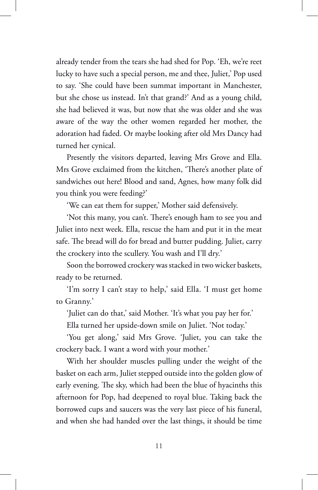already tender from the tears she had shed for Pop. 'Eh, we're reet lucky to have such a special person, me and thee, Juliet,' Pop used to say. 'She could have been summat important in Manchester, but she chose us instead. In't that grand?' And as a young child, she had believed it was, but now that she was older and she was aware of the way the other women regarded her mother, the adoration had faded. Or maybe looking after old Mrs Dancy had turned her cynical.

Presently the visitors departed, leaving Mrs Grove and Ella. Mrs Grove exclaimed from the kitchen, 'There's another plate of sandwiches out here! Blood and sand, Agnes, how many folk did you think you were feeding?'

'We can eat them for supper,' Mother said defensively.

'Not this many, you can't. There's enough ham to see you and Juliet into next week. Ella, rescue the ham and put it in the meat safe. The bread will do for bread and butter pudding. Juliet, carry the crockery into the scullery. You wash and I'll dry.'

Soon the borrowed crockery was stacked in two wicker baskets, ready to be returned.

'I'm sorry I can't stay to help,' said Ella. 'I must get home to Granny.'

'Juliet can do that,' said Mother. 'It's what you pay her for.'

Ella turned her upside-down smile on Juliet. 'Not today.'

'You get along,' said Mrs Grove. 'Juliet, you can take the crockery back. I want a word with your mother.'

With her shoulder muscles pulling under the weight of the basket on each arm, Juliet stepped outside into the golden glow of early evening. The sky, which had been the blue of hyacinths this afternoon for Pop, had deepened to royal blue. Taking back the borrowed cups and saucers was the very last piece of his funeral, and when she had handed over the last things, it should be time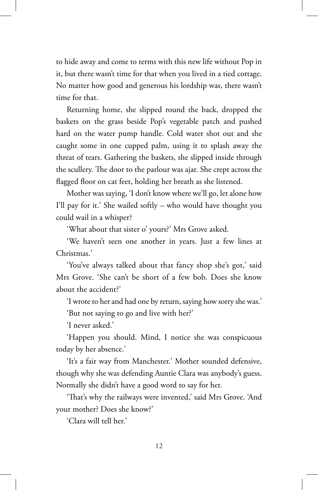to hide away and come to terms with this new life without Pop in it, but there wasn't time for that when you lived in a tied cottage. No matter how good and generous his lordship was, there wasn't time for that.

Returning home, she slipped round the back, dropped the baskets on the grass beside Pop's vegetable patch and pushed hard on the water pump handle. Cold water shot out and she caught some in one cupped palm, using it to splash away the threat of tears. Gathering the baskets, she slipped inside through the scullery. The door to the parlour was ajar. She crept across the flagged floor on cat feet, holding her breath as she listened.

Mother was saying, 'I don't know where we'll go, let alone how I'll pay for it.' She wailed softly – who would have thought you could wail in a whisper?

'What about that sister o' yours?' Mrs Grove asked.

'We haven't seen one another in years. Just a few lines at Christmas.'

'You've always talked about that fancy shop she's got,' said Mrs Grove. 'She can't be short of a few bob. Does she know about the accident?'

'I wrote to her and had one by return, saying how sorry she was.'

'But not saying to go and live with her?'

'I never asked.'

'Happen you should. Mind, I notice she was conspicuous today by her absence.'

'It's a fair way from Manchester.' Mother sounded defensive, though why she was defending Auntie Clara was anybody's guess. Normally she didn't have a good word to say for her.

'That's why the railways were invented,' said Mrs Grove. 'And your mother? Does she know?'

'Clara will tell her.'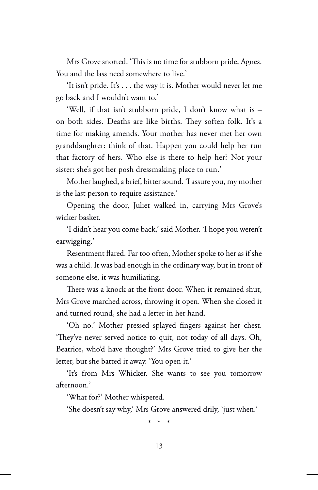Mrs Grove snorted. 'This is no time for stubborn pride, Agnes. You and the lass need somewhere to live.'

'It isn't pride. It's . . . the way it is. Mother would never let me go back and I wouldn't want to.'

'Well, if that isn't stubborn pride, I don't know what is – on both sides. Deaths are like births. They soften folk. It's a time for making amends. Your mother has never met her own granddaughter: think of that. Happen you could help her run that factory of hers. Who else is there to help her? Not your sister: she's got her posh dressmaking place to run.'

Mother laughed, a brief, bitter sound. 'I assure you, my mother is the last person to require assistance.'

Opening the door, Juliet walked in, carrying Mrs Grove's wicker basket.

'I didn't hear you come back,' said Mother. 'I hope you weren't earwigging.'

Resentment flared. Far too often, Mother spoke to her as if she was a child. It was bad enough in the ordinary way, but in front of someone else, it was humiliating.

There was a knock at the front door. When it remained shut, Mrs Grove marched across, throwing it open. When she closed it and turned round, she had a letter in her hand.

'Oh no.' Mother pressed splayed fingers against her chest. 'They've never served notice to quit, not today of all days. Oh, Beatrice, who'd have thought?' Mrs Grove tried to give her the letter, but she batted it away. 'You open it.'

'It's from Mrs Whicker. She wants to see you tomorrow afternoon.'

'What for?' Mother whispered.

'She doesn't say why,' Mrs Grove answered drily, 'just when.'

\* \* \*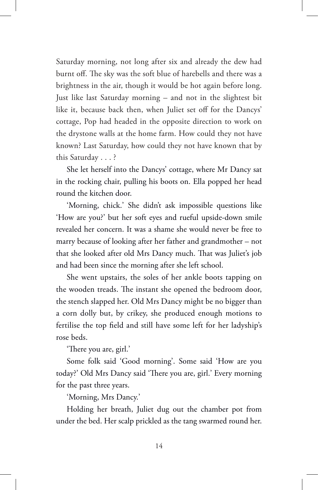Saturday morning, not long after six and already the dew had burnt off. The sky was the soft blue of harebells and there was a brightness in the air, though it would be hot again before long. Just like last Saturday morning – and not in the slightest bit like it, because back then, when Juliet set off for the Dancys' cottage, Pop had headed in the opposite direction to work on the drystone walls at the home farm. How could they not have known? Last Saturday, how could they not have known that by this Saturday . . . ?

She let herself into the Dancys' cottage, where Mr Dancy sat in the rocking chair, pulling his boots on. Ella popped her head round the kitchen door.

'Morning, chick.' She didn't ask impossible questions like 'How are you?' but her soft eyes and rueful upside-down smile revealed her concern. It was a shame she would never be free to marry because of looking after her father and grandmother – not that she looked after old Mrs Dancy much. That was Juliet's job and had been since the morning after she left school.

She went upstairs, the soles of her ankle boots tapping on the wooden treads. The instant she opened the bedroom door, the stench slapped her. Old Mrs Dancy might be no bigger than a corn dolly but, by crikey, she produced enough motions to fertilise the top field and still have some left for her ladyship's rose beds.

'There you are, girl.'

Some folk said 'Good morning'. Some said 'How are you today?' Old Mrs Dancy said 'There you are, girl.' Every morning for the past three years.

'Morning, Mrs Dancy.'

Holding her breath, Juliet dug out the chamber pot from under the bed. Her scalp prickled as the tang swarmed round her.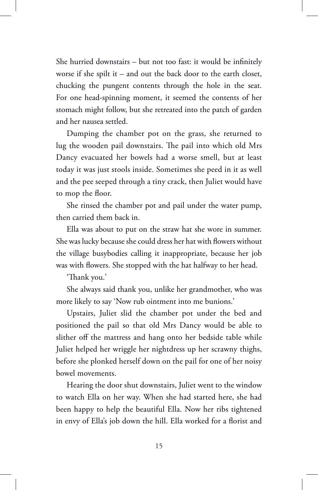She hurried downstairs – but not too fast: it would be infinitely worse if she spilt it – and out the back door to the earth closet, chucking the pungent contents through the hole in the seat. For one head-spinning moment, it seemed the contents of her stomach might follow, but she retreated into the patch of garden and her nausea settled.

Dumping the chamber pot on the grass, she returned to lug the wooden pail downstairs. The pail into which old Mrs Dancy evacuated her bowels had a worse smell, but at least today it was just stools inside. Sometimes she peed in it as well and the pee seeped through a tiny crack, then Juliet would have to mop the floor.

She rinsed the chamber pot and pail under the water pump, then carried them back in.

Ella was about to put on the straw hat she wore in summer. She was lucky because she could dress her hat with flowers without the village busybodies calling it inappropriate, because her job was with flowers. She stopped with the hat halfway to her head.

'Thank you.'

She always said thank you, unlike her grandmother, who was more likely to say 'Now rub ointment into me bunions.'

Upstairs, Juliet slid the chamber pot under the bed and positioned the pail so that old Mrs Dancy would be able to slither off the mattress and hang onto her bedside table while Juliet helped her wriggle her nightdress up her scrawny thighs, before she plonked herself down on the pail for one of her noisy bowel movements.

Hearing the door shut downstairs, Juliet went to the window to watch Ella on her way. When she had started here, she had been happy to help the beautiful Ella. Now her ribs tightened in envy of Ella's job down the hill. Ella worked for a florist and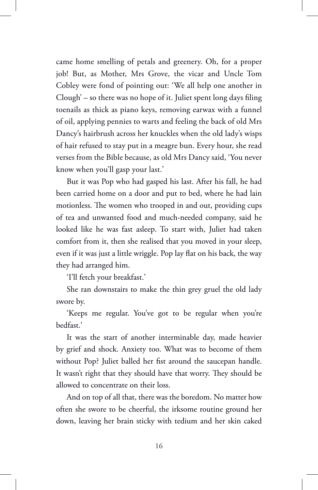came home smelling of petals and greenery. Oh, for a proper job! But, as Mother, Mrs Grove, the vicar and Uncle Tom Cobley were fond of pointing out: 'We all help one another in Clough' – so there was no hope of it. Juliet spent long days filing toenails as thick as piano keys, removing earwax with a funnel of oil, applying pennies to warts and feeling the back of old Mrs Dancy's hairbrush across her knuckles when the old lady's wisps of hair refused to stay put in a meagre bun. Every hour, she read verses from the Bible because, as old Mrs Dancy said, 'You never know when you'll gasp your last.'

But it was Pop who had gasped his last. After his fall, he had been carried home on a door and put to bed, where he had lain motionless. The women who trooped in and out, providing cups of tea and unwanted food and much-needed company, said he looked like he was fast asleep. To start with, Juliet had taken comfort from it, then she realised that you moved in your sleep, even if it was just a little wriggle. Pop lay flat on his back, the way they had arranged him.

'I'll fetch your breakfast.'

She ran downstairs to make the thin grey gruel the old lady swore by.

'Keeps me regular. You've got to be regular when you're bedfast.'

It was the start of another interminable day, made heavier by grief and shock. Anxiety too. What was to become of them without Pop? Juliet balled her fist around the saucepan handle. It wasn't right that they should have that worry. They should be allowed to concentrate on their loss.

And on top of all that, there was the boredom. No matter how often she swore to be cheerful, the irksome routine ground her down, leaving her brain sticky with tedium and her skin caked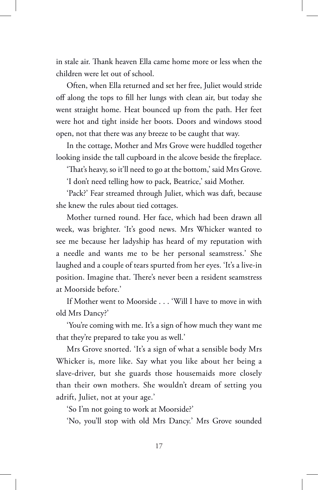in stale air. Thank heaven Ella came home more or less when the children were let out of school.

Often, when Ella returned and set her free, Juliet would stride off along the tops to fill her lungs with clean air, but today she went straight home. Heat bounced up from the path. Her feet were hot and tight inside her boots. Doors and windows stood open, not that there was any breeze to be caught that way.

In the cottage, Mother and Mrs Grove were huddled together looking inside the tall cupboard in the alcove beside the fireplace.

'That's heavy, so it'll need to go at the bottom,' said Mrs Grove.

'I don't need telling how to pack, Beatrice,' said Mother.

'Pack?' Fear streamed through Juliet, which was daft, because she knew the rules about tied cottages.

Mother turned round. Her face, which had been drawn all week, was brighter. 'It's good news. Mrs Whicker wanted to see me because her ladyship has heard of my reputation with a needle and wants me to be her personal seamstress.' She laughed and a couple of tears spurted from her eyes. 'It's a live-in position. Imagine that. There's never been a resident seamstress at Moorside before.'

If Mother went to Moorside . . . 'Will I have to move in with old Mrs Dancy?'

'You're coming with me. It's a sign of how much they want me that they're prepared to take you as well.'

Mrs Grove snorted. 'It's a sign of what a sensible body Mrs Whicker is, more like. Say what you like about her being a slave-driver, but she guards those housemaids more closely than their own mothers. She wouldn't dream of setting you adrift, Juliet, not at your age.'

'So I'm not going to work at Moorside?'

'No, you'll stop with old Mrs Dancy.' Mrs Grove sounded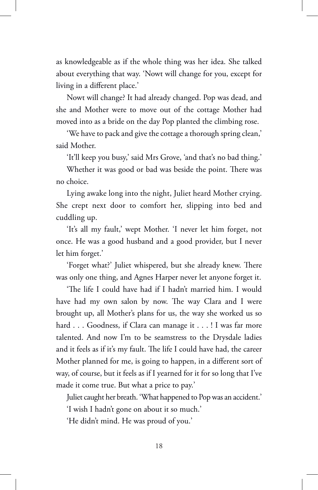as knowledgeable as if the whole thing was her idea. She talked about everything that way. 'Nowt will change for you, except for living in a different place.'

Nowt will change? It had already changed. Pop was dead, and she and Mother were to move out of the cottage Mother had moved into as a bride on the day Pop planted the climbing rose.

'We have to pack and give the cottage a thorough spring clean,' said Mother.

'It'll keep you busy,' said Mrs Grove, 'and that's no bad thing.'

Whether it was good or bad was beside the point. There was no choice.

Lying awake long into the night, Juliet heard Mother crying. She crept next door to comfort her, slipping into bed and cuddling up.

'It's all my fault,' wept Mother. 'I never let him forget, not once. He was a good husband and a good provider, but I never let him forget.'

'Forget what?' Juliet whispered, but she already knew. There was only one thing, and Agnes Harper never let anyone forget it.

'The life I could have had if I hadn't married him. I would have had my own salon by now. The way Clara and I were brought up, all Mother's plans for us, the way she worked us so hard . . . Goodness, if Clara can manage it . . . ! I was far more talented. And now I'm to be seamstress to the Drysdale ladies and it feels as if it's my fault. The life I could have had, the career Mother planned for me, is going to happen, in a different sort of way, of course, but it feels as if I yearned for it for so long that I've made it come true. But what a price to pay.'

Juliet caught her breath. 'What happened to Pop was an accident.'

'I wish I hadn't gone on about it so much.'

'He didn't mind. He was proud of you.'